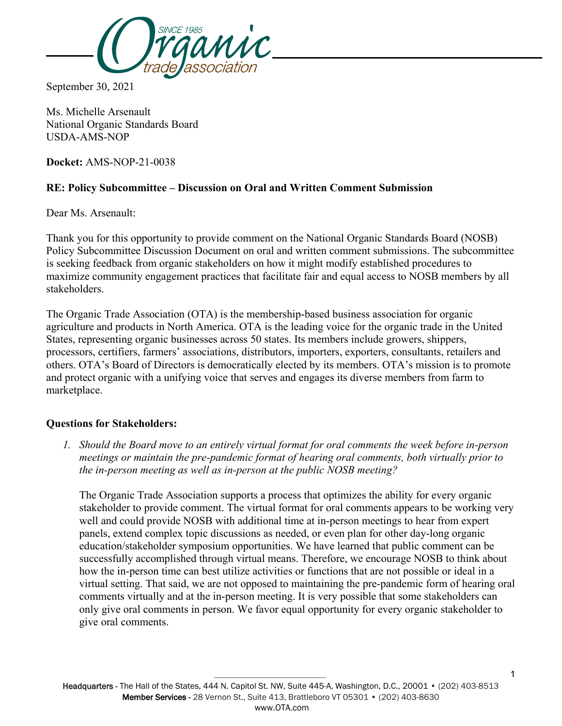

September 30, 2021

Ms. Michelle Arsenault National Organic Standards Board USDA-AMS-NOP

**Docket:** AMS-NOP-21-0038

## **RE: Policy Subcommittee – Discussion on Oral and Written Comment Submission**

Dear Ms. Arsenault:

Thank you for this opportunity to provide comment on the National Organic Standards Board (NOSB) Policy Subcommittee Discussion Document on oral and written comment submissions. The subcommittee is seeking feedback from organic stakeholders on how it might modify established procedures to maximize community engagement practices that facilitate fair and equal access to NOSB members by all stakeholders.

The Organic Trade Association (OTA) is the membership-based business association for organic agriculture and products in North America. OTA is the leading voice for the organic trade in the United States, representing organic businesses across 50 states. Its members include growers, shippers, processors, certifiers, farmers' associations, distributors, importers, exporters, consultants, retailers and others. OTA's Board of Directors is democratically elected by its members. OTA's mission is to promote and protect organic with a unifying voice that serves and engages its diverse members from farm to marketplace.

## **Questions for Stakeholders:**

*1. Should the Board move to an entirely virtual format for oral comments the week before in-person meetings or maintain the pre-pandemic format of hearing oral comments, both virtually prior to the in-person meeting as well as in-person at the public NOSB meeting?* 

The Organic Trade Association supports a process that optimizes the ability for every organic stakeholder to provide comment. The virtual format for oral comments appears to be working very well and could provide NOSB with additional time at in-person meetings to hear from expert panels, extend complex topic discussions as needed, or even plan for other day-long organic education/stakeholder symposium opportunities. We have learned that public comment can be successfully accomplished through virtual means. Therefore, we encourage NOSB to think about how the in-person time can best utilize activities or functions that are not possible or ideal in a virtual setting. That said, we are not opposed to maintaining the pre-pandemic form of hearing oral comments virtually and at the in-person meeting. It is very possible that some stakeholders can only give oral comments in person. We favor equal opportunity for every organic stakeholder to give oral comments.